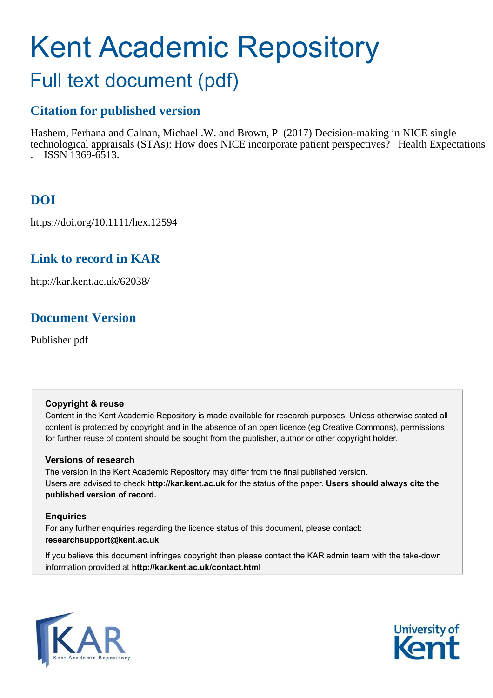# Kent Academic Repository

# Full text document (pdf)

# **Citation for published version**

Hashem, Ferhana and Calnan, Michael .W. and Brown, P (2017) Decision-making in NICE single technological appraisals (STAs): How does NICE incorporate patient perspectives? Health Expectations . ISSN 1369-6513.

# **DOI**

https://doi.org/10.1111/hex.12594

## **Link to record in KAR**

http://kar.kent.ac.uk/62038/

## **Document Version**

Publisher pdf

#### **Copyright & reuse**

Content in the Kent Academic Repository is made available for research purposes. Unless otherwise stated all content is protected by copyright and in the absence of an open licence (eg Creative Commons), permissions for further reuse of content should be sought from the publisher, author or other copyright holder.

#### **Versions of research**

The version in the Kent Academic Repository may differ from the final published version. Users are advised to check **http://kar.kent.ac.uk** for the status of the paper. **Users should always cite the published version of record.**

#### **Enquiries**

For any further enquiries regarding the licence status of this document, please contact: **researchsupport@kent.ac.uk**

If you believe this document infringes copyright then please contact the KAR admin team with the take-down information provided at **http://kar.kent.ac.uk/contact.html**



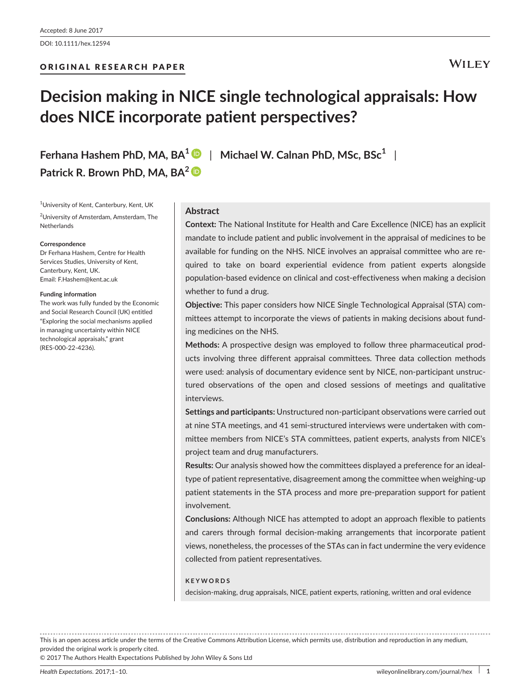DOI: 10.1111/hex.12594

### **WILEY**

# **Decision making in NICE single technological appraisals: How does NICE incorporate patient perspectives?**

 $\mathsf{Ferhana}$  Hashem PhD, MA, BA $^1\text{\textcircled{P}}$  $^1\text{\textcircled{P}}$  $^1\text{\textcircled{P}}$   $\parallel$  Michael W. Calnan PhD, MSc, BSc $^1\parallel$ **Patrick R. Brown PhD, MA, BA<sup>2</sup>** 

<sup>1</sup>University of Kent, Canterbury, Kent, UK

<sup>2</sup>University of Amsterdam, Amsterdam, The Netherlands

#### **Correspondence**

Dr Ferhana Hashem, Centre for Health Services Studies, University of Kent, Canterbury, Kent, UK. Email: [F.Hashem@kent.ac.uk](mailto:F.Hashem@kent.ac.uk)

#### **Funding information**

The work was fully funded by the Economic and Social Research Council (UK) entitled "Exploring the social mechanisms applied in managing uncertainty within NICE technological appraisals," grant (RES-000-22-4236).

#### **Abstract**

**Context:** The National Institute for Health and Care Excellence (NICE) has an explicit mandate to include patient and public involvement in the appraisal of medicines to be available for funding on the NHS. NICE involves an appraisal committee who are required to take on board experiential evidence from patient experts alongside population- based evidence on clinical and cost- effectiveness when making a decision whether to fund a drug.

**Objective:** This paper considers how NICE Single Technological Appraisal (STA) committees attempt to incorporate the views of patients in making decisions about funding medicines on the NHS.

**Methods:** A prospective design was employed to follow three pharmaceutical products involving three different appraisal committees. Three data collection methods were used: analysis of documentary evidence sent by NICE, non-participant unstructured observations of the open and closed sessions of meetings and qualitative interviews.

**Settings and participants: Unstructured non-participant observations were carried out** at nine STA meetings, and 41 semi- structured interviews were undertaken with committee members from NICE's STA committees, patient experts, analysts from NICE's project team and drug manufacturers.

**Results:** Our analysis showed how the committees displayed a preference for an idealtype of patient representative, disagreement among the committee when weighing- up patient statements in the STA process and more pre- preparation support for patient involvement.

**Conclusions:** Although NICE has attempted to adopt an approach flexible to patients and carers through formal decision-making arrangements that incorporate patient views, nonetheless, the processes of the STAs can in fact undermine the very evidence collected from patient representatives.

#### **KEYWORDS**

decision-making, drug appraisals, NICE, patient experts, rationing, written and oral evidence

This is an open access article under the terms of the [Creative Commons Attribution](http://creativecommons.org/licenses/by/4.0/) License, which permits use, distribution and reproduction in any medium, provided the original work is properly cited.

© 2017 The Authors Health Expectations Published by John Wiley & Sons Ltd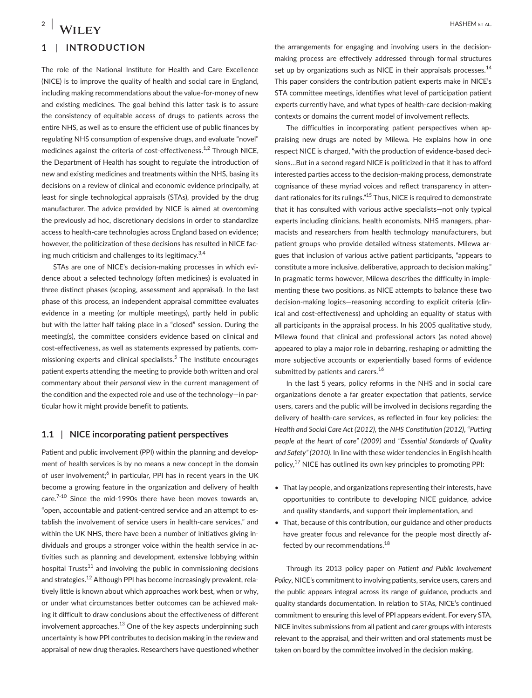# **ゲ科**|**科INTRODUCTION**

The role of the National Institute for Health and Care Excellence (NICE) is to improve the quality of health and social care in England, including making recommendations about the value-for-money of new and existing medicines. The goal behind this latter task is to assure the consistency of equitable access of drugs to patients across the entire NHS, as well as to ensure the efficient use of public finances by regulating NHS consumption of expensive drugs, and evaluate "novel" medicines against the criteria of cost-effectiveness.<sup>1,2</sup> Through NICE, the Department of Health has sought to regulate the introduction of new and existing medicines and treatments within the NHS, basing its decisions on a review of clinical and economic evidence principally, at least for single technological appraisals (STAs), provided by the drug manufacturer. The advice provided by NICE is aimed at overcoming the previously ad hoc, discretionary decisions in order to standardize access to health-care technologies across England based on evidence; however, the politicization of these decisions has resulted in NICE facing much criticism and challenges to its legitimacy.<sup>3,4</sup>

STAs are one of NICE's decision-making processes in which evidence about a selected technology (often medicines) is evaluated in three distinct phases (scoping, assessment and appraisal). In the last phase of this process, an independent appraisal committee evaluates evidence in a meeting (or multiple meetings), partly held in public but with the latter half taking place in a "closed" session. During the meeting(s), the committee considers evidence based on clinical and cost- effectiveness, as well as statements expressed by patients, commissioning experts and clinical specialists.<sup>5</sup> The Institute encourages patient experts attending the meeting to provide both written and oral commentary about their *personal view* in the current management of the condition and the expected role and use of the technology—in particular how it might provide benefit to patients.

#### 1.1 | NICE incorporating patient perspectives

Patient and public involvement (PPI) within the planning and development of health services is by no means a new concept in the domain of user involvement;<sup>6</sup> in particular, PPI has in recent years in the UK become a growing feature in the organization and delivery of health care. $7-10$  Since the mid-1990s there have been moves towards an, "open, accountable and patient- centred service and an attempt to establish the involvement of service users in health-care services," and within the UK NHS, there have been a number of initiatives giving individuals and groups a stronger voice within the health service in activities such as planning and development, extensive lobbying within hospital Trusts<sup>11</sup> and involving the public in commissioning decisions and strategies.<sup>12</sup> Although PPI has become increasingly prevalent, relatively little is known about which approaches work best, when or why, or under what circumstances better outcomes can be achieved making it difficult to draw conclusions about the effectiveness of different involvement approaches. $^{13}$  One of the key aspects underpinning such uncertainty is how PPI contributes to decision making in the review and appraisal of new drug therapies. Researchers have questioned whether

the arrangements for engaging and involving users in the decisionmaking process are effectively addressed through formal structures set up by organizations such as NICE in their appraisals processes.<sup>14</sup> This paper considers the contribution patient experts make in NICE's STA committee meetings, identifies what level of participation patient experts currently have, and what types of health-care decision-making contexts or domains the current model of involvement reflects.

The difficulties in incorporating patient perspectives when appraising new drugs are noted by Milewa. He explains how in one respect NICE is charged, "with the production of evidence- based decisions…But in a second regard NICE is politicized in that it has to afford interested parties access to the decision- making process, demonstrate cognisance of these myriad voices and reflect transparency in attendant rationales for its rulings."15 Thus, NICE is required to demonstrate that it has consulted with various active specialists—not only typical experts including clinicians, health economists, NHS managers, pharmacists and researchers from health technology manufacturers, but patient groups who provide detailed witness statements. Milewa argues that inclusion of various active patient participants, "appears to constitute a more inclusive, deliberative, approach to decision making." In pragmatic terms however, Milewa describes the difficulty in implementing these two positions, as NICE attempts to balance these two decision-making logics-reasoning according to explicit criteria (clinical and cost-effectiveness) and upholding an equality of status with all participants in the appraisal process. In his 2005 qualitative study, Milewa found that clinical and professional actors (as noted above) appeared to play a major role in debarring, reshaping or admitting the more subjective accounts or experientially based forms of evidence submitted by patients and carers.<sup>16</sup>

In the last 5 years, policy reforms in the NHS and in social care organizations denote a far greater expectation that patients, service users, carers and the public will be involved in decisions regarding the delivery of health-care services, as reflected in four key policies: the *Health and Social Care Act (2012)*, the *NHS Constitution (2012)*, "*Putting people at the heart of careî (2009)* and "*Essential Standards of Quality and Safetyî (2010)*. In line with these wider tendencies in English health policy, $^{17}$  NICE has outlined its own key principles to promoting PPI:

- That lay people, and organizations representing their interests, have opportunities to contribute to developing NICE guidance, advice and quality standards, and support their implementation, and
- That, because of this contribution, our guidance and other products have greater focus and relevance for the people most directly affected by our recommendations.<sup>18</sup>

Through its 2013 policy paper on *Patient and Public Involvement Policy*, NICE's commitment to involving patients, service users, carers and the public appears integral across its range of guidance, products and quality standards documentation. In relation to STAs, NICE's continued commitment to ensuring this level of PPI appears evident. For every STA, NICE invites submissions from all patient and carer groups with interests relevant to the appraisal, and their written and oral statements must be taken on board by the committee involved in the decision making.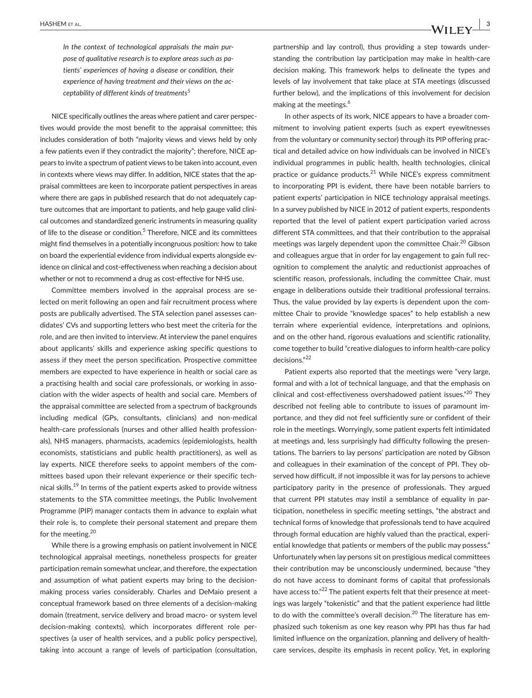*In the context of technological appraisals the main purpose of qualitative research is to explore areas such as patientsí experiences of having a disease or condition, their experience of having treatment and their views on the acceptability of different kinds of treatments<sup>5</sup>*

NICE specifically outlines the areas where patient and carer perspectives would provide the most benefit to the appraisal committee; this includes consideration of both "majority views and views held by only a few patients even if they contradict the majority"; therefore, NICE appears to invite a spectrum of patient views to be taken into account, even in contexts where views may differ. In addition, NICE states that the appraisal committees are keen to incorporate patient perspectives in areas where there are gaps in published research that do not adequately capture outcomes that are important to patients, and help gauge valid clinical outcomes and standardized generic instruments in measuring quality of life to the disease or condition.<sup>5</sup> Therefore, NICE and its committees might find themselves in a potentially incongruous position: how to take on board the experiential evidence from individual experts alongside evidence on clinical and cost-effectiveness when reaching a decision about whether or not to recommend a drug as cost-effective for NHS use.

Committee members involved in the appraisal process are selected on merit following an open and fair recruitment process where posts are publically advertised. The STA selection panel assesses candidates' CVs and supporting letters who best meet the criteria for the role, and are then invited to interview. At interview the panel enquires about applicants' skills and experience asking specific questions to assess if they meet the person specification. Prospective committee members are expected to have experience in health or social care as a practising health and social care professionals, or working in association with the wider aspects of health and social care. Members of the appraisal committee are selected from a spectrum of backgrounds including medical (GPs, consultants, clinicians) and non- medical health-care professionals (nurses and other allied health professionals), NHS managers, pharmacists, academics (epidemiologists, health economists, statisticians and public health practitioners), as well as lay experts. NICE therefore seeks to appoint members of the committees based upon their relevant experience or their specific technical skills.<sup>19</sup> In terms of the patient experts asked to provide witness statements to the STA committee meetings, the Public Involvement Programme (PIP) manager contacts them in advance to explain what their role is, to complete their personal statement and prepare them for the meeting.<sup>20</sup>

While there is a growing emphasis on patient involvement in NICE technological appraisal meetings, nonetheless prospects for greater participation remain somewhat unclear, and therefore, the expectation and assumption of what patient experts may bring to the decisionmaking process varies considerably. Charles and DeMaio present a conceptual framework based on three elements of a decision- making domain (treatment, service delivery and broad macro- or system level decision- making contexts), which incorporates different role perspectives (a user of health services, and a public policy perspective), taking into account a range of levels of participation (consultation, partnership and lay control), thus providing a step towards understanding the contribution lay participation may make in health-care decision making. This framework helps to delineate the types and levels of lay involvement that take place at STA meetings (discussed further below), and the implications of this involvement for decision making at the meetings.<sup>6</sup>

In other aspects of its work, NICE appears to have a broader commitment to involving patient experts (such as expert eyewitnesses from the voluntary or community sector) through its PIP offering practical and detailed advice on how individuals can be involved in NICE's individual programmes in public health, health technologies, clinical practice or guidance products.<sup>21</sup> While NICE's express commitment to incorporating PPI is evident, there have been notable barriers to patient experts' participation in NICE technology appraisal meetings. In a survey published by NICE in 2012 of patient experts, respondents reported that the level of patient expert participation varied across different STA committees, and that their contribution to the appraisal meetings was largely dependent upon the committee Chair.<sup>20</sup> Gibson and colleagues argue that in order for lay engagement to gain full recognition to complement the analytic and reductionist approaches of scientific reason, professionals, including the committee Chair, must engage in deliberations outside their traditional professional terrains. Thus, the value provided by lay experts is dependent upon the committee Chair to provide "knowledge spaces" to help establish a new terrain where experiential evidence, interpretations and opinions, and on the other hand, rigorous evaluations and scientific rationality, come together to build "creative dialogues to inform health-care policy decisions."<sup>22</sup>

Patient experts also reported that the meetings were "very large, formal and with a lot of technical language, and that the emphasis on clinical and cost-effectiveness overshadowed patient issues."<sup>20</sup> They described not feeling able to contribute to issues of paramount importance, and they did not feel sufficiently sure or confident of their role in the meetings. Worryingly, some patient experts felt intimidated at meetings and, less surprisingly had difficulty following the presentations. The barriers to lay persons' participation are noted by Gibson and colleagues in their examination of the concept of PPI. They observed how difficult, if not impossible it was for lay persons to achieve participatory parity in the presence of professionals. They argued that current PPI statutes may instil a semblance of equality in participation, nonetheless in specific meeting settings, "the abstract and technical forms of knowledge that professionals tend to have acquired through formal education are highly valued than the practical, experiential knowledge that patients or members of the public may possess." Unfortunately when lay persons sit on prestigious medical committees their contribution may be unconsciously undermined, because "they do not have access to dominant forms of capital that professionals have access to."<sup>22</sup> The patient experts felt that their presence at meetings was largely "tokenistic" and that the patient experience had little to do with the committee's overall decision.<sup>20</sup> The literature has emphasized such tokenism as one key reason why PPI has thus far had limited influence on the organization, planning and delivery of healthcare services, despite its emphasis in recent policy. Yet, in exploring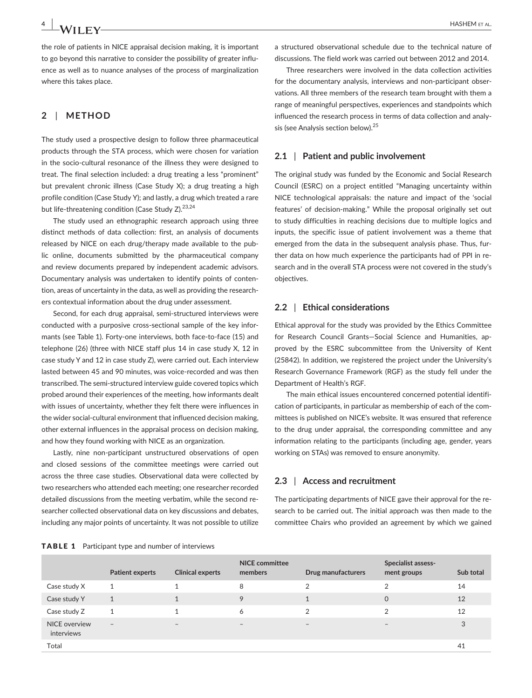the role of patients in NICE appraisal decision making, it is important to go beyond this narrative to consider the possibility of greater influence as well as to nuance analyses of the process of marginalization where this takes place.

#### **ゴ科**|**科METHOD**

The study used a prospective design to follow three pharmaceutical products through the STA process, which were chosen for variation in the socio-cultural resonance of the illness they were designed to treat. The final selection included: a drug treating a less "prominent" but prevalent chronic illness (Case Study X); a drug treating a high profile condition (Case Study Y); and lastly, a drug which treated a rare but life-threatening condition (Case Study Z).<sup>23,24</sup>

The study used an ethnographic research approach using three distinct methods of data collection: first, an analysis of documents released by NICE on each drug/therapy made available to the public online, documents submitted by the pharmaceutical company and review documents prepared by independent academic advisors. Documentary analysis was undertaken to identify points of contention, areas of uncertainty in the data, as well as providing the researchers contextual information about the drug under assessment.

Second, for each drug appraisal, semi- structured interviews were conducted with a purposive cross- sectional sample of the key informants (see Table 1). Forty-one interviews, both face-to-face (15) and telephone (26) (three with NICE staff plus 14 in case study X, 12 in case study Y and 12 in case study Z), were carried out. Each interview lasted between 45 and 90 minutes, was voice-recorded and was then transcribed. The semi- structured interview guide covered topics which probed around their experiences of the meeting, how informants dealt with issues of uncertainty, whether they felt there were influences in the wider social-cultural environment that influenced decision making, other external influences in the appraisal process on decision making, and how they found working with NICE as an organization.

Lastly, nine non-participant unstructured observations of open and closed sessions of the committee meetings were carried out across the three case studies. Observational data were collected by two researchers who attended each meeting; one researcher recorded detailed discussions from the meeting verbatim, while the second researcher collected observational data on key discussions and debates, including any major points of uncertainty. It was not possible to utilize

a structured observational schedule due to the technical nature of discussions. The field work was carried out between 2012 and 2014.

Three researchers were involved in the data collection activities for the documentary analysis, interviews and non-participant observations. All three members of the research team brought with them a range of meaningful perspectives, experiences and standpoints which influenced the research process in terms of data collection and analysis (see Analysis section below).<sup>25</sup>

#### 2.1 | Patient and public involvement

The original study was funded by the Economic and Social Research Council (ESRC) on a project entitled "Managing uncertainty within NICE technological appraisals: the nature and impact of the 'social features' of decision- making." While the proposal originally set out to study difficulties in reaching decisions due to multiple logics and inputs, the specific issue of patient involvement was a theme that emerged from the data in the subsequent analysis phase. Thus, further data on how much experience the participants had of PPI in research and in the overall STA process were not covered in the study's objectives.

#### **2.2** | Ethical considerations

Ethical approval for the study was provided by the Ethics Committee for Research Council Grants—Social Science and Humanities, approved by the ESRC subcommittee from the University of Kent (25842). In addition, we registered the project under the University's Research Governance Framework (RGF) as the study fell under the Department of Health's RGF.

The main ethical issues encountered concerned potential identification of participants, in particular as membership of each of the committees is published on NICE's website. It was ensured that reference to the drug under appraisal, the corresponding committee and any information relating to the participants (including age, gender, years working on STAs) was removed to ensure anonymity.

#### **2.3** Access and recruitment

The participating departments of NICE gave their approval for the research to be carried out. The initial approach was then made to the committee Chairs who provided an agreement by which we gained

#### TABLE 1 Participant type and number of interviews

|                             | <b>Patient experts</b> | <b>Clinical experts</b> | <b>NICE committee</b><br>members | Drug manufacturers | <b>Specialist assess-</b><br>ment groups | Sub total |
|-----------------------------|------------------------|-------------------------|----------------------------------|--------------------|------------------------------------------|-----------|
| Case study X                | 1                      |                         | 8                                | $\mathcal{P}$      | $\mathfrak{D}$                           | 14        |
| Case study Y                |                        |                         | 9                                |                    | $\mathbf 0$                              | 12        |
| Case study Z                |                        | $\overline{\mathbf{A}}$ | 6                                | 2                  | ⌒                                        | 12        |
| NICE overview<br>interviews | $\qquad \qquad -$      | $\qquad \qquad -$       | $\overline{\phantom{a}}$         | $\qquad \qquad -$  | $\qquad \qquad -$                        | 3         |
| Total                       |                        |                         |                                  |                    |                                          | 41        |
|                             |                        |                         |                                  |                    |                                          |           |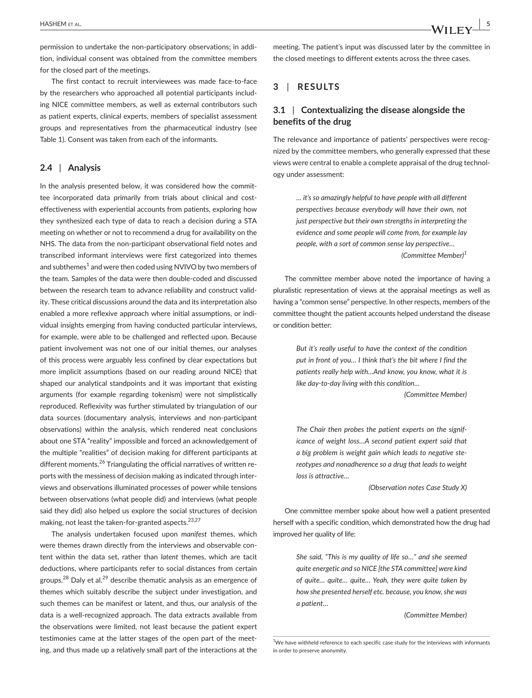permission to undertake the non- participatory observations; in addition, individual consent was obtained from the committee members for the closed part of the meetings.

The first contact to recruit interviewees was made face-to-face by the researchers who approached all potential participants including NICE committee members, as well as external contributors such as patient experts, clinical experts, members of specialist assessment groups and representatives from the pharmaceutical industry (see Table 1). Consent was taken from each of the informants.

#### 2.4 | **Analysis**

In the analysis presented below, it was considered how the committee incorporated data primarily from trials about clinical and costeffectiveness with experiential accounts from patients, exploring how they synthesized each type of data to reach a decision during a STA meeting on whether or not to recommend a drug for availability on the NHS. The data from the non-participant observational field notes and transcribed informant interviews were first categorized into themes and subthemes<sup>1</sup> and were then coded using NVIVO by two members of the team. Samples of the data were then double- coded and discussed between the research team to advance reliability and construct validity. These critical discussions around the data and its interpretation also enabled a more reflexive approach where initial assumptions, or individual insights emerging from having conducted particular interviews, for example, were able to be challenged and reflected upon. Because patient involvement was not one of our initial themes, our analyses of this process were arguably less confined by clear expectations but more implicit assumptions (based on our reading around NICE) that shaped our analytical standpoints and it was important that existing arguments (for example regarding tokenism) were not simplistically reproduced. Reflexivity was further stimulated by triangulation of our data sources (documentary analysis, interviews and non-participant observations) within the analysis, which rendered neat conclusions about one STA "reality" impossible and forced an acknowledgement of the multiple "realities" of decision making for different participants at different moments.<sup>26</sup> Triangulating the official narratives of written reports with the messiness of decision making as indicated through interviews and observations illuminated processes of power while tensions between observations (what people did) and interviews (what people said they did) also helped us explore the social structures of decision making, not least the taken-for-granted aspects.<sup>23,27</sup>

The analysis undertaken focused upon *manifest* themes, which were themes drawn directly from the interviews and observable content within the data set, rather than *latent* themes, which are tacit deductions, where participants refer to social distances from certain groups.<sup>28</sup> Daly et al.<sup>29</sup> describe thematic analysis as an emergence of themes which suitably describe the subject under investigation, and such themes can be manifest or latent, and thus, our analysis of the data is a well-recognized approach. The data extracts available from the observations were limited, not least because the patient expert testimonies came at the latter stages of the open part of the meeting, and thus made up a relatively small part of the interactions at the

meeting. The patient's input was discussed later by the committee in the closed meetings to different extents across the three cases.

#### **ザ科**|**科RESULTS**

#### **3.1** Contextualizing the disease alongside the **benefits of the drug**

The relevance and importance of patients' perspectives were recognized by the committee members, who generally expressed that these views were central to enable a complete appraisal of the drug technology under assessment:

> *Ö itís so amazingly helpful to have people with all different perspectives because everybody will have their own, not just perspective but their own strengths in interpreting the evidence and some people will come from, for example lay people, with a sort of common sense lay perspective... (Committee Member)<sup>1</sup>*

The committee member above noted the importance of having a pluralistic representation of views at the appraisal meetings as well as having a "common sense" perspective. In other respects, members of the committee thought the patient accounts helped understand the disease or condition better:

> *But itís really useful to have the context of the condition*  put in front of you... I think that's the bit where I find the patients really help with...And know, you know, what it is *like day-to-day living with this condition...*

> > *(Committee Member)*

*The Chair then probes the patient experts on the significance of weight loss...A second patient expert said that a big problem is weight gain which leads to negative stereotypes and nonadherence so a drug that leads to weight loss is attractive...* 

*(Observation notes Case Study X)*

One committee member spoke about how well a patient presented herself with a specific condition, which demonstrated how the drug had improved her quality of life:

> *She said, "This is my quality of life so..." and she seemed quite energetic and so NICE [the STA committee] were kind*  of quite... quite... quite... Yeah, they were quite taken by *how she presented herself etc. because, you know, she was a* patient...

> > *(Committee Member)*

 $1$ We have withheld reference to each specific case study for the interviews with informants in order to preserve anonymity.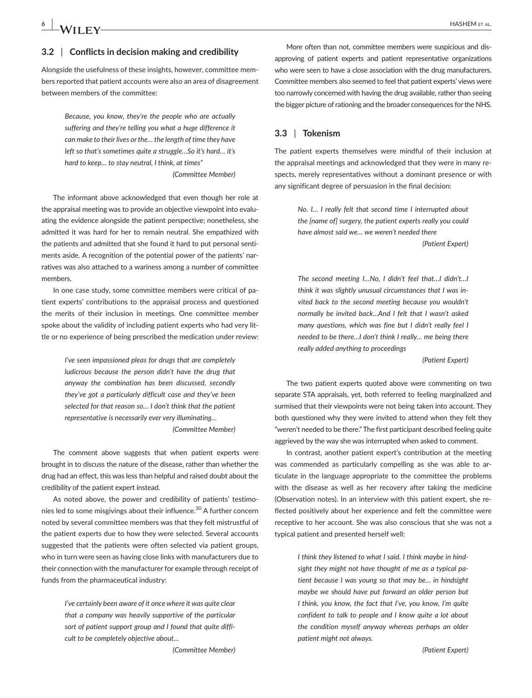#### **3.2** Conflicts in decision making and credibility

Alongside the usefulness of these insights, however, committee members reported that patient accounts were also an area of disagreement between members of the committee:

> *Because, you know, theyíre the people who are actually suffering and theyíre telling you what a huge difference it*  can make to their lives or the... the length of time they have *left so that's sometimes quite a struggle...So it's hard... it's hard to keep... to stay neutral, I think, at times*"

#### *(Committee Member)*

The informant above acknowledged that even though her role at the appraisal meeting was to provide an objective viewpoint into evaluating the evidence alongside the patient perspective; nonetheless, she admitted it was hard for her to remain neutral. She empathized with the patients and admitted that she found it hard to put personal sentiments aside. A recognition of the potential power of the patients' narratives was also attached to a wariness among a number of committee members.

In one case study, some committee members were critical of patient experts' contributions to the appraisal process and questioned the merits of their inclusion in meetings. One committee member spoke about the validity of including patient experts who had very little or no experience of being prescribed the medication under review:

> *Iíve seen impassioned pleas for drugs that are completely ludicrous because the person didnít have the drug that anyway the combination has been discussed, secondly theyíve got a particularly difficult case and theyíve been*  selected for that reason so... I don't think that the patient *representative is necessarily ever very illuminating... (Committee Member)*

The comment above suggests that when patient experts were brought in to discuss the nature of the disease, rather than whether the drug had an effect, this was less than helpful and raised doubt about the credibility of the patient expert instead.

As noted above, the power and credibility of patients' testimonies led to some misgivings about their influence.<sup>30</sup> A further concern noted by several committee members was that they felt mistrustful of the patient experts due to how they were selected. Several accounts suggested that the patients were often selected via patient groups, who in turn were seen as having close links with manufacturers due to their connection with the manufacturer for example through receipt of funds from the pharmaceutical industry:

> *Iíve certainly been aware of it once where it was quite clear that a company was heavily supportive of the particular sort of patient support group and I found that quite diffi*cult to be completely objective about...

More often than not, committee members were suspicious and disapproving of patient experts and patient representative organizations who were seen to have a close association with the drug manufacturers. Committee members also seemed to feel that patient experts' views were too narrowly concerned with having the drug available, rather than seeing the bigger picture of rationing and the broader consequences for the NHS.

#### **ザsザ科**|**科Tokenism**

The patient experts themselves were mindful of their inclusion at the appraisal meetings and acknowledged that they were in many respects, merely representatives without a dominant presence or with any significant degree of persuasion in the final decision:

> *No. I... I really felt that second time I interrupted about the [name of] surgery, the patient experts really you could*  have almost said we... we weren't needed there *(Patient Expert)*

> The second meeting *I*...No, I didn't feel that...I didn't...I *think it was slightly unusual circumstances that I was invited back to the second meeting because you wouldnít normally be invited back...And I felt that I wasn't asked*

> *many questions, which was fine but I didnít really feel I needed to be there...I don't think I really... me being there really added anything to proceedings*

> > *(Patient Expert)*

The two patient experts quoted above were commenting on two separate STA appraisals, yet, both referred to feeling marginalized and surmised that their viewpoints were not being taken into account. They both questioned why they were invited to attend when they felt they "weren't needed to be there." The first participant described feeling quite aggrieved by the way she was interrupted when asked to comment.

In contrast, another patient expert's contribution at the meeting was commended as particularly compelling as she was able to articulate in the language appropriate to the committee the problems with the disease as well as her recovery after taking the medicine (Observation notes). In an interview with this patient expert, she reflected positively about her experience and felt the committee were receptive to her account. She was also conscious that she was not a typical patient and presented herself well:

> *I think they listened to what I said. I think maybe in hindsight they might not have thought of me as a typical patient because I was young so that may be... in hindsight maybe we should have put forward an older person but I think, you know, the fact that Iíve, you know, Iím quite confident to talk to people and I know quite a lot about the condition myself anyway whereas perhaps an older patient might not always.*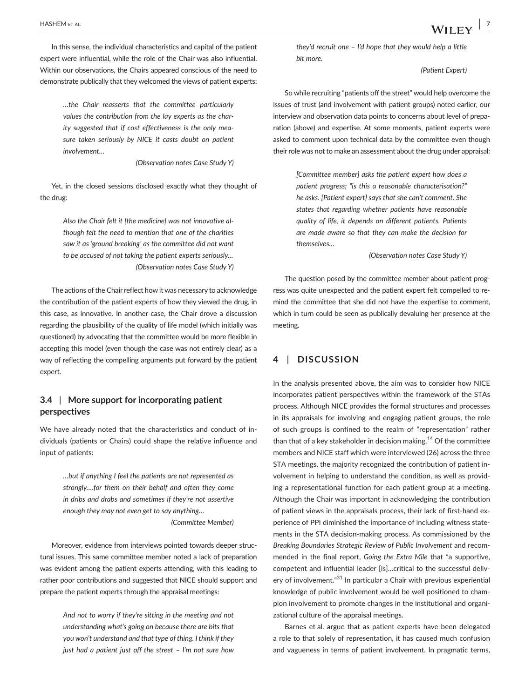In this sense, the individual characteristics and capital of the patient expert were influential, while the role of the Chair was also influential. Within our observations, the Chairs appeared conscious of the need to demonstrate publically that they welcomed the views of patient experts:

> *Öthe Chair reasserts that the committee particularly values the contribution from the lay experts as the charity suggested that if cost effectiveness is the only measure taken seriously by NICE it casts doubt on patient involvementÖ*

> > *(Observation notes Case Study Y)*

Yet, in the closed sessions disclosed exactly what they thought of the drug:

> *Also the Chair felt it [the medicine] was not innovative although felt the need to mention that one of the charities saw it as ëground breakingí as the committee did not want*  to be accused of not taking the patient experts seriously... *(Observation notes Case Study Y)*

The actions of the Chair reflect how it was necessary to acknowledge the contribution of the patient experts of how they viewed the drug, in this case, as innovative. In another case, the Chair drove a discussion regarding the plausibility of the quality of life model (which initially was questioned) by advocating that the committee would be more flexible in accepting this model (even though the case was not entirely clear) as a way of reflecting the compelling arguments put forward by the patient expert.

#### **3.4** | More support for incorporating patient **perspectives**

We have already noted that the characteristics and conduct of individuals (patients or Chairs) could shape the relative influence and input of patients:

> *Öbut if anything I feel the patients are not represented as*  strongly....for them on their behalf and often they come *in dribs and drabs and sometimes if theyíre not assertive enough they may not even get to say anything...*

*(Committee Member)*

Moreover, evidence from interviews pointed towards deeper structural issues. This same committee member noted a lack of preparation was evident among the patient experts attending, with this leading to rather poor contributions and suggested that NICE should support and prepare the patient experts through the appraisal meetings:

> *And not to worry if theyíre sitting in the meeting and not understanding whatís going on because there are bits that you wonít understand and that type of thing. I think if they just had a patient just off the street - I'm not sure how*

*they'd recruit one - I'd hope that they would help a little bit more.*

*(Patient Expert)*

So while recruiting "patients off the street" would help overcome the issues of trust (and involvement with patient groups) noted earlier, our interview and observation data points to concerns about level of preparation (above) and expertise. At some moments, patient experts were asked to comment upon technical data by the committee even though their role was not to make an assessment about the drug under appraisal:

> *[Committee member] asks the patient expert how does a*  patient progress; "is this a reasonable characterisation?" *he asks. [Patient expert] says that she canít comment. She states that regarding whether patients have reasonable quality of life, it depends on different patients. Patients are made aware so that they can make the decision for*  themselves...

> > *(Observation notes Case Study Y)*

The question posed by the committee member about patient progress was quite unexpected and the patient expert felt compelled to remind the committee that she did not have the expertise to comment, which in turn could be seen as publically devaluing her presence at the meeting.

#### **ジ科**|**科DISCUSSION**

In the analysis presented above, the aim was to consider how NICE incorporates patient perspectives within the framework of the STAs process. Although NICE provides the formal structures and processes in its appraisals for involving and engaging patient groups, the role of such groups is confined to the realm of "representation" rather than that of a key stakeholder in decision making.<sup>14</sup> Of the committee members and NICE staff which were interviewed (26) across the three STA meetings, the majority recognized the contribution of patient involvement in helping to understand the condition, as well as providing a representational function for each patient group at a meeting. Although the Chair was important in acknowledging the contribution of patient views in the appraisals process, their lack of first-hand experience of PPI diminished the importance of including witness statements in the STA decision-making process. As commissioned by the *Breaking Boundaries Strategic Review of Public Involvement* and recommended in the final report, *Going the Extra Mile* that "a supportive, competent and influential leader [is]…critical to the successful delivery of involvement."<sup>31</sup> In particular a Chair with previous experiential knowledge of public involvement would be well positioned to champion involvement to promote changes in the institutional and organizational culture of the appraisal meetings.

Barnes et al. argue that as patient experts have been delegated a role to that solely of representation, it has caused much confusion and vagueness in terms of patient involvement. In pragmatic terms,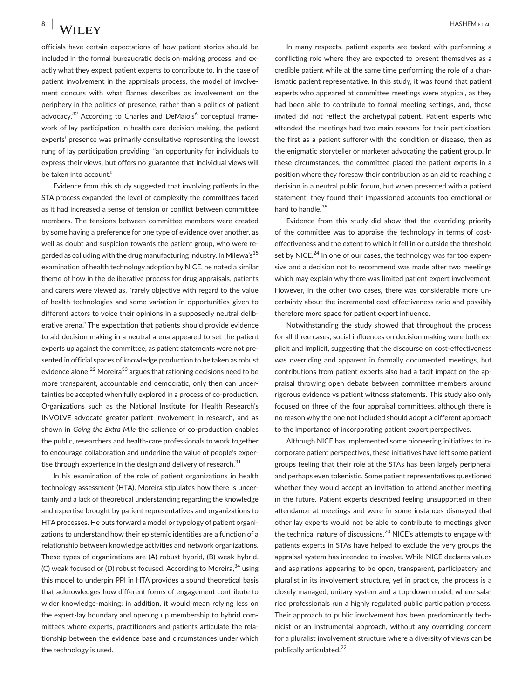officials have certain expectations of how patient stories should be included in the formal bureaucratic decision-making process, and exactly what they expect patient experts to contribute to. In the case of patient involvement in the appraisals process, the model of involvement concurs with what Barnes describes as involvement on the periphery in the politics of presence, rather than a politics of patient advocacy.<sup>32</sup> According to Charles and DeMaio's<sup>6</sup> conceptual framework of lay participation in health-care decision making, the patient experts' presence was primarily consultative representing the lowest rung of lay participation providing, "an opportunity for individuals to express their views, but offers no guarantee that individual views will be taken into account."

Evidence from this study suggested that involving patients in the STA process expanded the level of complexity the committees faced as it had increased a sense of tension or conflict between committee members. The tensions between committee members were created by some having a preference for one type of evidence over another, as well as doubt and suspicion towards the patient group, who were regarded as colluding with the drug manufacturing industry. In Milewa's<sup>15</sup> examination of health technology adoption by NICE, he noted a similar theme of how in the deliberative process for drug appraisals, patients and carers were viewed as, "rarely objective with regard to the value of health technologies and some variation in opportunities given to different actors to voice their opinions in a supposedly neutral deliberative arena." The expectation that patients should provide evidence to aid decision making in a neutral arena appeared to set the patient experts up against the committee, as patient statements were not presented in official spaces of knowledge production to be taken as robust evidence alone.<sup>22</sup> Moreira<sup>33</sup> argues that rationing decisions need to be more transparent, accountable and democratic, only then can uncertainties be accepted when fully explored in a process of co- production. Organizations such as the National Institute for Health Research's INVOLVE advocate greater patient involvement in research, and as shown in *Going the Extra Mile* the salience of co-production enables the public, researchers and health- care professionals to work together to encourage collaboration and underline the value of people's expertise through experience in the design and delivery of research. $31$ 

In his examination of the role of patient organizations in health technology assessment (HTA), Moreira stipulates how there is uncertainly and a lack of theoretical understanding regarding the knowledge and expertise brought by patient representatives and organizations to HTA processes. He puts forward a model or typology of patient organizations to understand how their epistemic identities are a function of a relationship between knowledge activities and network organizations. These types of organizations are (A) robust hybrid, (B) weak hybrid, (C) weak focused or (D) robust focused. According to Moreira,  $34$  using this model to underpin PPI in HTA provides a sound theoretical basis that acknowledges how different forms of engagement contribute to wider knowledge-making; in addition, it would mean relying less on the expert-lay boundary and opening up membership to hybrid committees where experts, practitioners and patients articulate the relationship between the evidence base and circumstances under which the technology is used.

In many respects, patient experts are tasked with performing a conflicting role where they are expected to present themselves as a credible patient while at the same time performing the role of a charismatic patient representative. In this study, it was found that patient experts who appeared at committee meetings were atypical, as they had been able to contribute to formal meeting settings, and, those invited did not reflect the archetypal patient. Patient experts who attended the meetings had two main reasons for their participation, the first as a patient sufferer with the condition or disease, then as the enigmatic storyteller or marketer advocating the patient group. In these circumstances, the committee placed the patient experts in a position where they foresaw their contribution as an aid to reaching a decision in a neutral public forum, but when presented with a patient statement, they found their impassioned accounts too emotional or hard to handle.<sup>35</sup>

Evidence from this study did show that the overriding priority of the committee was to appraise the technology in terms of costeffectiveness and the extent to which it fell in or outside the threshold set by NICE. $^{24}$  In one of our cases, the technology was far too expensive and a decision not to recommend was made after two meetings which may explain why there was limited patient expert involvement. However, in the other two cases, there was considerable more uncertainty about the incremental cost-effectiveness ratio and possibly therefore more space for patient expert influence.

Notwithstanding the study showed that throughout the process for all three cases, social influences on decision making were both explicit and implicit, suggesting that the discourse on cost-effectiveness was overriding and apparent in formally documented meetings, but contributions from patient experts also had a tacit impact on the appraisal throwing open debate between committee members around rigorous evidence vs patient witness statements. This study also only focused on three of the four appraisal committees, although there is no reason why the one not included should adopt a different approach to the importance of incorporating patient expert perspectives.

Although NICE has implemented some pioneering initiatives to incorporate patient perspectives, these initiatives have left some patient groups feeling that their role at the STAs has been largely peripheral and perhaps even tokenistic. Some patient representatives questioned whether they would accept an invitation to attend another meeting in the future. Patient experts described feeling unsupported in their attendance at meetings and were in some instances dismayed that other lay experts would not be able to contribute to meetings given the technical nature of discussions.<sup>20</sup> NICE's attempts to engage with patients experts in STAs have helped to exclude the very groups the appraisal system has intended to involve. While NICE declares values and aspirations appearing to be open, transparent, participatory and pluralist in its involvement structure, yet in practice, the process is a closely managed, unitary system and a top- down model, where salaried professionals run a highly regulated public participation process. Their approach to public involvement has been predominantly technicist or an instrumental approach, without any overriding concern for a pluralist involvement structure where a diversity of views can be publically articulated.<sup>22</sup>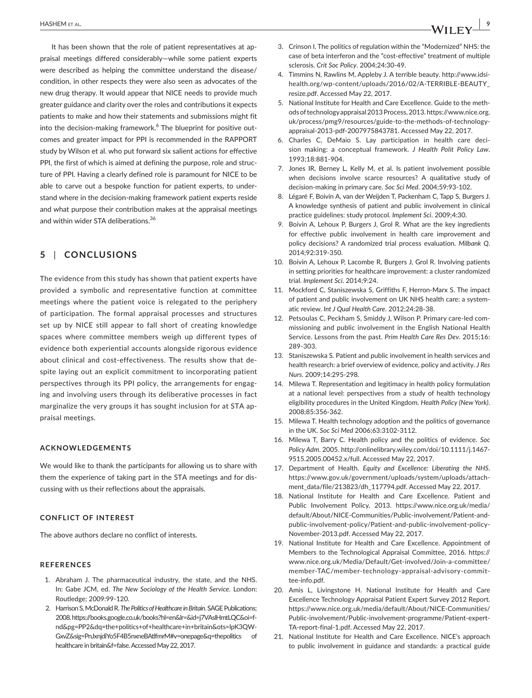It has been shown that the role of patient representatives at appraisal meetings differed considerably—while some patient experts were described as helping the committee understand the disease/ condition, in other respects they were also seen as advocates of the new drug therapy. It would appear that NICE needs to provide much greater guidance and clarity over the roles and contributions it expects patients to make and how their statements and submissions might fit into the decision-making framework.<sup>6</sup> The blueprint for positive outcomes and greater impact for PPI is recommended in the RAPPORT study by Wilson et al. who put forward six salient actions for effective PPI, the first of which is aimed at defining the purpose, role and structure of PPI. Having a clearly defined role is paramount for NICE to be able to carve out a bespoke function for patient experts, to understand where in the decision- making framework patient experts reside and what purpose their contribution makes at the appraisal meetings and within wider STA deliberations.<sup>36</sup>

#### $5$  | CONCLUSIONS

The evidence from this study has shown that patient experts have provided a symbolic and representative function at committee meetings where the patient voice is relegated to the periphery of participation. The formal appraisal processes and structures set up by NICE still appear to fall short of creating knowledge spaces where committee members weigh up different types of evidence both experiential accounts alongside rigorous evidence about clinical and cost-effectiveness. The results show that despite laying out an explicit commitment to incorporating patient perspectives through its PPI policy, the arrangements for engaging and involving users through its deliberative processes in fact marginalize the very groups it has sought inclusion for at STA appraisal meetings.

#### **ACKNOWLEDGEMENTS**

We would like to thank the participants for allowing us to share with them the experience of taking part in the STA meetings and for discussing with us their reflections about the appraisals.

#### **CONFLICT OF INTEREST**

The above authors declare no conflict of interests.

#### **REFERENCES**

- 1. Abraham J. The pharmaceutical industry, the state, and the NHS. In: Gabe JCM, ed. *The New Sociology of the Health Service*. London: Routledge; 2009:99-120.
- 2. Harrison S, McDonald R. *The Politics of Healthcare in Britain*. SAGE Publications; 2008. [https://books.google.co.uk/books?hl=en&lr=&id=j7VAslHmtLQC&oi=f](https://books.google.co.uk/books?hl=en&lr=&id=j7VAslHmtLQC&oi=fnd&pg=PP2&dq=the+politics+of+healthcare+in+britain&ots=lpK3QWGxvZ&sig=PnJxnjdiYo5F4B5nxneBAtlfmrM#v=onepage&q=thepolitics)[nd&pg=PP2&dq=the+politics+of+healthcare+in+britain&ots=lpK3QW-](https://books.google.co.uk/books?hl=en&lr=&id=j7VAslHmtLQC&oi=fnd&pg=PP2&dq=the+politics+of+healthcare+in+britain&ots=lpK3QWGxvZ&sig=PnJxnjdiYo5F4B5nxneBAtlfmrM#v=onepage&q=thepolitics)[GxvZ&sig=PnJxnjdiYo5F4B5nxneBAtlfmrM#v=onepage&q=thepolitics](https://books.google.co.uk/books?hl=en&lr=&id=j7VAslHmtLQC&oi=fnd&pg=PP2&dq=the+politics+of+healthcare+in+britain&ots=lpK3QWGxvZ&sig=PnJxnjdiYo5F4B5nxneBAtlfmrM#v=onepage&q=thepolitics) of healthcare in britain&f=false. Accessed May 22, 2017.
- 3. Crinson I. The politics of regulation within the "Modernized" NHS: the case of beta interferon and the "cost- effective" treatment of multiple sclerosis. *Crit Soc Policy*. 2004;24:30-49.
- 4. Timmins N, Rawlins M, Appleby J. A terrible beauty. [http://www.idsi](http://www.idsihealth.org/wp-content/uploads/2016/02/A-TERRIBLE-BEAUTY_resize.pdf)[health.org/wp-content/uploads/2016/02/A-TERRIBLE-BEAUTY\\_](http://www.idsihealth.org/wp-content/uploads/2016/02/A-TERRIBLE-BEAUTY_resize.pdf) [resize.pdf.](http://www.idsihealth.org/wp-content/uploads/2016/02/A-TERRIBLE-BEAUTY_resize.pdf) Accessed May 22, 2017.
- 5. National Institute for Health and Care Excellence. Guide to the methods of technology appraisal 2013 Process, 2013. [https://www.nice.org.](https://www.nice.org.uk/process/pmg9/resources/guide-to-the-methods-of-technology-appraisal-2013-pdf-2007975843781) [uk/process/pmg9/resources/guide-to-the-methods-of-technology](https://www.nice.org.uk/process/pmg9/resources/guide-to-the-methods-of-technology-appraisal-2013-pdf-2007975843781)[appraisal-2013-pdf-2007975843781.](https://www.nice.org.uk/process/pmg9/resources/guide-to-the-methods-of-technology-appraisal-2013-pdf-2007975843781) Accessed May 22, 2017.
- 6. Charles C, DeMaio S. Lay participation in health care decision making: a conceptual framework. *J Health Polit Policy Law*. 1993;18:881-904.
- 7. Jones IR, Berney L, Kelly M, et al. Is patient involvement possible when decisions involve scarce resources? A qualitative study of decision- making in primary care. *Soc Sci Med*. 2004;59:93-102.
- 8. Légaré F, Boivin A, van der Weijden T, Packenham C, Tapp S, Burgers J. A knowledge synthesis of patient and public involvement in clinical practice guidelines: study protocol. *Implement Sci*. 2009;4:30.
- 9. Boivin A, Lehoux P, Burgers J, Grol R. What are the key ingredients for effective public involvement in health care improvement and policy decisions? A randomized trial process evaluation. *Milbank Q*. 2014;92:319-350.
- 10. Boivin A, Lehoux P, Lacombe R, Burgers J, Grol R. Involving patients in setting priorities for healthcare improvement: a cluster randomized trial. *Implement Sci*. 2014;9:24.
- 11. Mockford C, Staniszewska S, Griffiths F, Herron-Marx S. The impact of patient and public involvement on UK NHS health care: a systematic review. *Int J Qual Health Care*. 2012;24:28-38.
- 12. Petsoulas C, Peckham S, Smiddy J, Wilson P. Primary care- led commissioning and public involvement in the English National Health Service. Lessons from the past. *Prim Health Care Res Dev*. 2015;16: 289-303.
- 13. Staniszewska S. Patient and public involvement in health services and health research: a brief overview of evidence, policy and activity. *J Res Nurs*. 2009;14:295-298.
- 14. Milewa T. Representation and legitimacy in health policy formulation at a national level: perspectives from a study of health technology eligibility procedures in the United Kingdom. *Health Policy (New York)*. 2008;85:356-362.
- 15. Milewa T. Health technology adoption and the politics of governance in the UK. *Soc Sci Med* 2006;63:3102-3112.
- 16. Milewa T, Barry C. Health policy and the politics of evidence. *Soc Policy Adm*. 2005. [http://onlinelibrary.wiley.com/doi/10.1111/j.1467-](http://onlinelibrary.wiley.com/doi/10.1111/j.1467-9515.2005.00452.x/full) [9515.2005.00452.x/full.](http://onlinelibrary.wiley.com/doi/10.1111/j.1467-9515.2005.00452.x/full) Accessed May 22, 2017.
- 17. Department of Health. *Equity and Excellence: Liberating the NHS*. [https://www.gov.uk/government/uploads/system/uploads/attach](https://www.gov.uk/government/uploads/system/uploads/attachment_data/file/213823/dh_117794.pdf)[ment\\_data/file/213823/dh\\_117794.pdf.](https://www.gov.uk/government/uploads/system/uploads/attachment_data/file/213823/dh_117794.pdf) Accessed May 22, 2017.
- 18. National Institute for Health and Care Excellence. Patient and Public Involvement Policy, 2013. [https://www.nice.org.uk/media/](https://www.nice.org.uk/media/default/About/NICE-Communities/Public-involvement/Patient-and-public-involvement-policy/Patient-and-public-involvement-policy-November-2013.pdf) [default/About/NICE-Communities/Public-involvement/Patient-and](https://www.nice.org.uk/media/default/About/NICE-Communities/Public-involvement/Patient-and-public-involvement-policy/Patient-and-public-involvement-policy-November-2013.pdf)[public-involvement-policy/Patient-and-public-involvement-policy-](https://www.nice.org.uk/media/default/About/NICE-Communities/Public-involvement/Patient-and-public-involvement-policy/Patient-and-public-involvement-policy-November-2013.pdf)[November-2013.pdf](https://www.nice.org.uk/media/default/About/NICE-Communities/Public-involvement/Patient-and-public-involvement-policy/Patient-and-public-involvement-policy-November-2013.pdf). Accessed May 22, 2017.
- 19. National Institute for Health and Care Excellence. Appointment of Members to the Technological Appraisal Committee, 2016. [https://](https://www.nice.org.uk/Media/Default/Get-involved/Join-a-committee/member-TAC/member-technology-appraisal-advisory-committee-info.pdf) [www.nice.org.uk/Media/Default/Get-involved/Join-a-committee/](https://www.nice.org.uk/Media/Default/Get-involved/Join-a-committee/member-TAC/member-technology-appraisal-advisory-committee-info.pdf) [member-TAC/member-technology-appraisal-advisory-commit](https://www.nice.org.uk/Media/Default/Get-involved/Join-a-committee/member-TAC/member-technology-appraisal-advisory-committee-info.pdf)[tee-info.pdf.](https://www.nice.org.uk/Media/Default/Get-involved/Join-a-committee/member-TAC/member-technology-appraisal-advisory-committee-info.pdf)
- 20. Amis L, Livingstone H. National Institute for Health and Care Excellence Technology Appraisal Patient Expert Survey 2012 Report. [https://www.nice.org.uk/media/default/About/NICE-Communities/](https://www.nice.org.uk/media/default/About/NICE-Communities/Public-involvement/Public-involvement-programme/Patient-expert-TA-report-final-1.pdf) [Public-involvement/Public-involvement-programme/Patient-expert-](https://www.nice.org.uk/media/default/About/NICE-Communities/Public-involvement/Public-involvement-programme/Patient-expert-TA-report-final-1.pdf)[TA-report-final-1.pdf](https://www.nice.org.uk/media/default/About/NICE-Communities/Public-involvement/Public-involvement-programme/Patient-expert-TA-report-final-1.pdf). Accessed May 22, 2017.
- 21. National Institute for Health and Care Excellence. NICE's approach to public involvement in guidance and standards: a practical guide